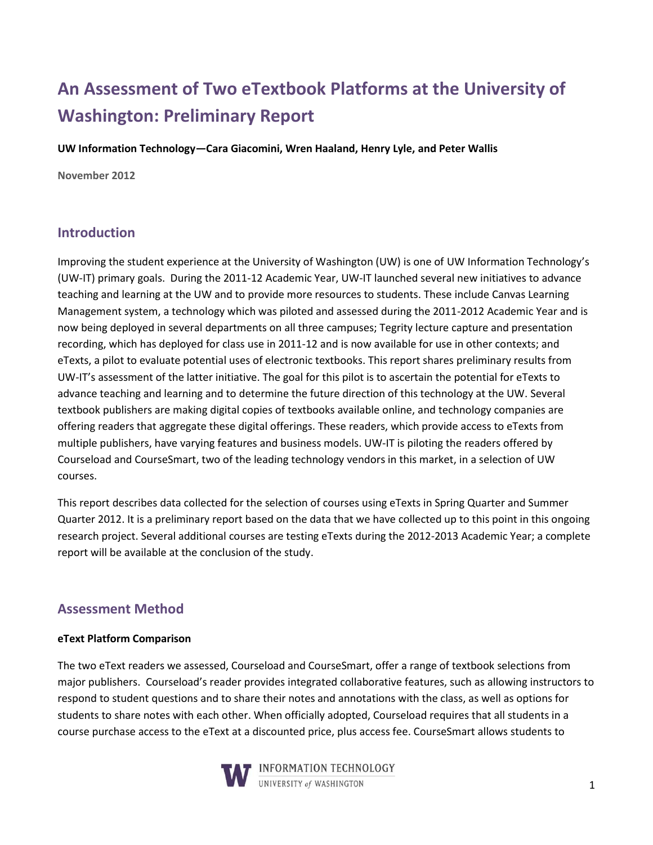# **An Assessment of Two eTextbook Platforms at the University of Washington: Preliminary Report**

**UW Information Technology—Cara Giacomini, Wren Haaland, Henry Lyle, and Peter Wallis**

**November 2012**

## **Introduction**

Improving the student experience at the University of Washington (UW) is one of UW Information Technology's (UW-IT) primary goals. During the 2011-12 Academic Year, UW-IT launched several new initiatives to advance teaching and learning at the UW and to provide more resources to students. These include Canvas Learning Management system, a technology which was piloted and assessed during the 2011-2012 Academic Year and is now being deployed in several departments on all three campuses; Tegrity lecture capture and presentation recording, which has deployed for class use in 2011-12 and is now available for use in other contexts; and eTexts, a pilot to evaluate potential uses of electronic textbooks. This report shares preliminary results from UW-IT's assessment of the latter initiative. The goal for this pilot is to ascertain the potential for eTexts to advance teaching and learning and to determine the future direction of this technology at the UW. Several textbook publishers are making digital copies of textbooks available online, and technology companies are offering readers that aggregate these digital offerings. These readers, which provide access to eTexts from multiple publishers, have varying features and business models. UW-IT is piloting the readers offered by Courseload and CourseSmart, two of the leading technology vendors in this market, in a selection of UW courses.

This report describes data collected for the selection of courses using eTexts in Spring Quarter and Summer Quarter 2012. It is a preliminary report based on the data that we have collected up to this point in this ongoing research project. Several additional courses are testing eTexts during the 2012-2013 Academic Year; a complete report will be available at the conclusion of the study.

# **Assessment Method**

#### **eText Platform Comparison**

The two eText readers we assessed, Courseload and CourseSmart, offer a range of textbook selections from major publishers. Courseload's reader provides integrated collaborative features, such as allowing instructors to respond to student questions and to share their notes and annotations with the class, as well as options for students to share notes with each other. When officially adopted, Courseload requires that all students in a course purchase access to the eText at a discounted price, plus access fee. CourseSmart allows students to

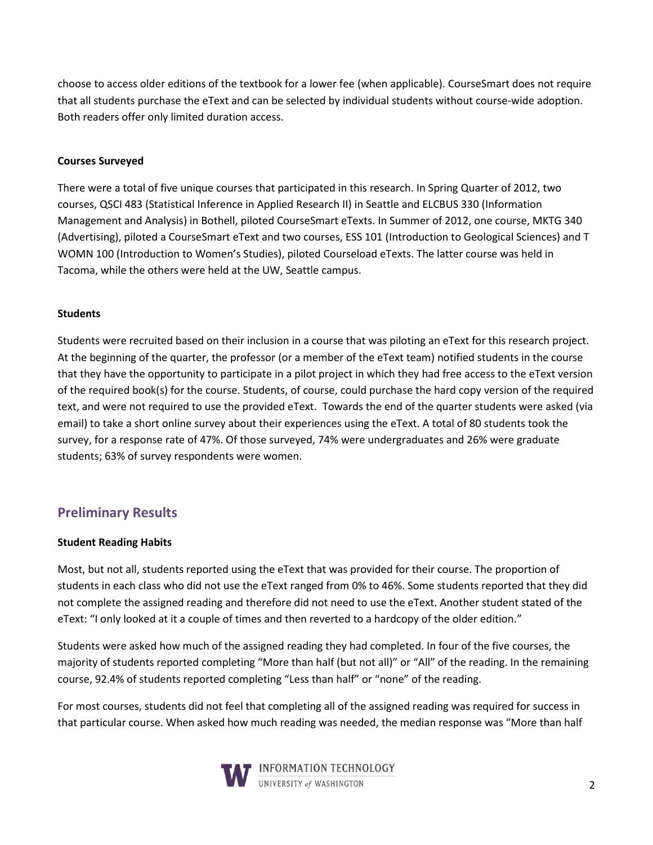choose to access older editions of the textbook for a lower fee (when applicable). CourseSmart does not require that all students purchase the eText and can be selected by individual students without course-wide adoption. Both readers offer only limited duration access.

### **Courses Surveyed**

There were a total of five unique courses that participated in this research. In Spring Quarter of 2012, two courses, QSCI 483 (Statistical Inference in Applied Research II) in Seattle and ELCBUS 330 (Information Management and Analysis) in Bothell, piloted CourseSmart eTexts. In Summer of 2012, one course, MKTG 340 (Advertising), piloted a CourseSmart eText and two courses, ESS 101 (Introduction to Geological Sciences) and T WOMN 100 (Introduction to Women's Studies), piloted Courseload eTexts. The latter course was held in Tacoma, while the others were held at the UW, Seattle campus.

#### **Students**

Students were recruited based on their inclusion in a course that was piloting an eText for this research project. At the beginning of the quarter, the professor (or a member of the eText team) notified students in the course that they have the opportunity to participate in a pilot project in which they had free access to the eText version of the required book(s) for the course. Students, of course, could purchase the hard copy version of the required text, and were not required to use the provided eText. Towards the end of the quarter students were asked (via email) to take a short online survey about their experiences using the eText. A total of 80 students took the survey, for a response rate of 47%. Of those surveyed, 74% were undergraduates and 26% were graduate students; 63% of survey respondents were women.

# **Preliminary Results**

#### **Student Reading Habits**

Most, but not all, students reported using the eText that was provided for their course. The proportion of students in each class who did not use the eText ranged from 0% to 46%. Some students reported that they did not complete the assigned reading and therefore did not need to use the eText. Another student stated of the eText: "I only looked at it a couple of times and then reverted to a hardcopy of the older edition."

Students were asked how much of the assigned reading they had completed. In four of the five courses, the majority of students reported completing "More than half (but not all)" or "All" of the reading. In the remaining course, 92.4% of students reported completing "Less than half" or "none" of the reading.

For most courses, students did not feel that completing all of the assigned reading was required for success in that particular course. When asked how much reading was needed, the median response was "More than half

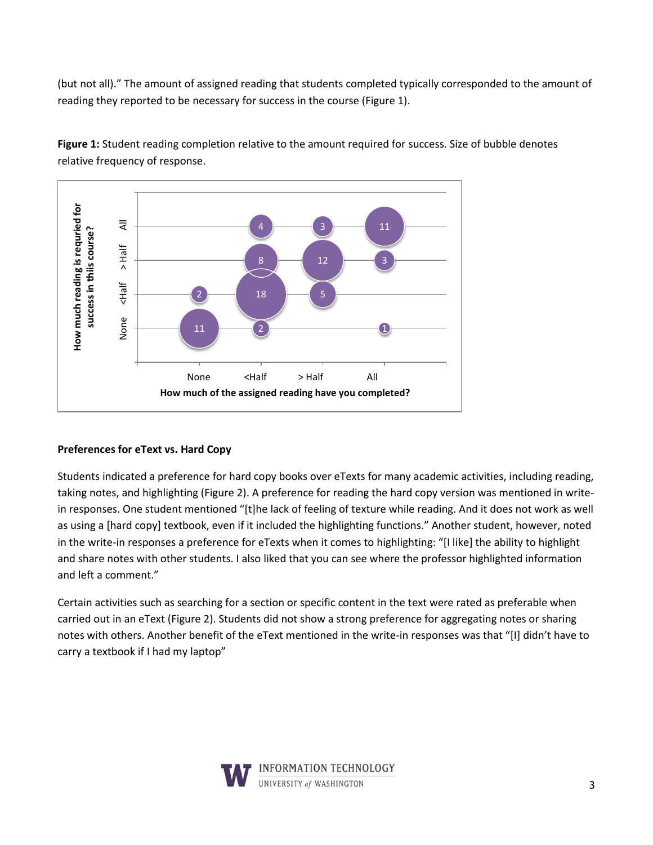(but not all)." The amount of assigned reading that students completed typically corresponded to the amount of reading they reported to be necessary for success in the course (Figure 1).



**Figure 1:** Student reading completion relative to the amount required for success. Size of bubble denotes relative frequency of response.

### **Preferences for eText vs. Hard Copy**

Students indicated a preference for hard copy books over eTexts for many academic activities, including reading, taking notes, and highlighting (Figure 2). A preference for reading the hard copy version was mentioned in writein responses. One student mentioned "[t]he lack of feeling of texture while reading. And it does not work as well as using a [hard copy] textbook, even if it included the highlighting functions." Another student, however, noted in the write-in responses a preference for eTexts when it comes to highlighting: "[I like] the ability to highlight and share notes with other students. I also liked that you can see where the professor highlighted information and left a comment."

Certain activities such as searching for a section or specific content in the text were rated as preferable when carried out in an eText (Figure 2). Students did not show a strong preference for aggregating notes or sharing notes with others. Another benefit of the eText mentioned in the write-in responses was that "[I] didn't have to carry a textbook if I had my laptop"

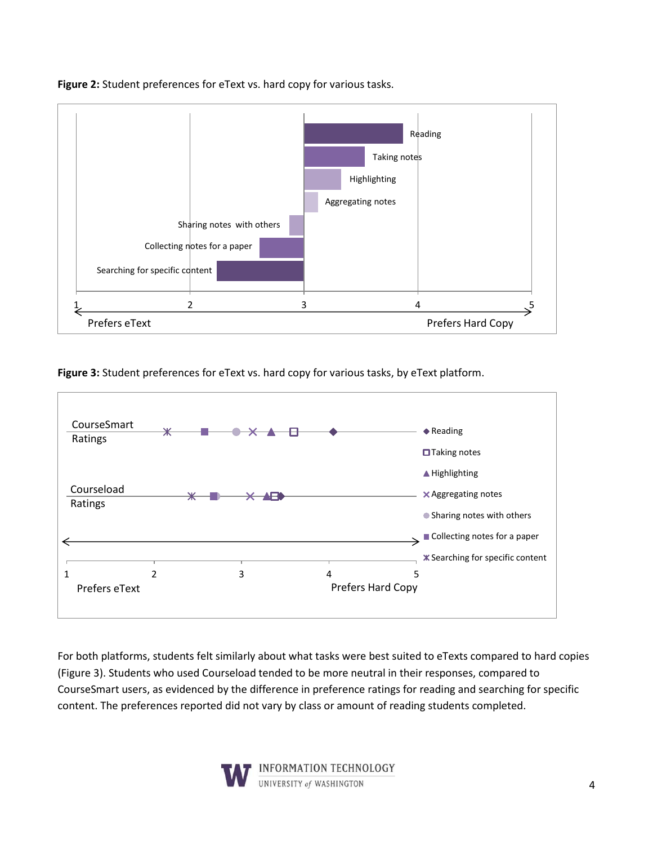

**Figure 2:** Student preferences for eText vs. hard copy for various tasks.

**Figure 3:** Student preferences for eText vs. hard copy for various tasks, by eText platform.



For both platforms, students felt similarly about what tasks were best suited to eTexts compared to hard copies (Figure 3). Students who used Courseload tended to be more neutral in their responses, compared to CourseSmart users, as evidenced by the difference in preference ratings for reading and searching for specific content. The preferences reported did not vary by class or amount of reading students completed.



NFORMATION TECHNOLOGY UNIVERSITY of WASHINGTON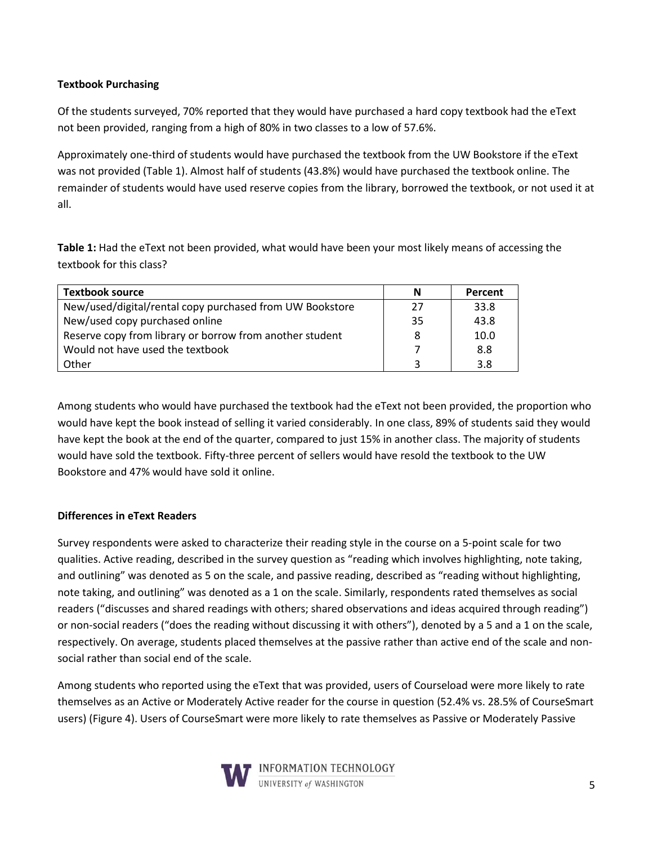### **Textbook Purchasing**

Of the students surveyed, 70% reported that they would have purchased a hard copy textbook had the eText not been provided, ranging from a high of 80% in two classes to a low of 57.6%.

Approximately one-third of students would have purchased the textbook from the UW Bookstore if the eText was not provided (Table 1). Almost half of students (43.8%) would have purchased the textbook online. The remainder of students would have used reserve copies from the library, borrowed the textbook, or not used it at all.

**Table 1:** Had the eText not been provided, what would have been your most likely means of accessing the textbook for this class?

| <b>Textbook source</b>                                   | N  | <b>Percent</b> |
|----------------------------------------------------------|----|----------------|
| New/used/digital/rental copy purchased from UW Bookstore | 27 | 33.8           |
| New/used copy purchased online                           | 35 | 43.8           |
| Reserve copy from library or borrow from another student | 8  | 10.0           |
| Would not have used the textbook                         |    | 8.8            |
| Other                                                    | ્ર | 3.8            |

Among students who would have purchased the textbook had the eText not been provided, the proportion who would have kept the book instead of selling it varied considerably. In one class, 89% of students said they would have kept the book at the end of the quarter, compared to just 15% in another class. The majority of students would have sold the textbook. Fifty-three percent of sellers would have resold the textbook to the UW Bookstore and 47% would have sold it online.

#### **Differences in eText Readers**

Survey respondents were asked to characterize their reading style in the course on a 5-point scale for two qualities. Active reading, described in the survey question as "reading which involves highlighting, note taking, and outlining" was denoted as 5 on the scale, and passive reading, described as "reading without highlighting, note taking, and outlining" was denoted as a 1 on the scale. Similarly, respondents rated themselves as social readers ("discusses and shared readings with others; shared observations and ideas acquired through reading") or non-social readers ("does the reading without discussing it with others"), denoted by a 5 and a 1 on the scale, respectively. On average, students placed themselves at the passive rather than active end of the scale and nonsocial rather than social end of the scale.

Among students who reported using the eText that was provided, users of Courseload were more likely to rate themselves as an Active or Moderately Active reader for the course in question (52.4% vs. 28.5% of CourseSmart users) (Figure 4). Users of CourseSmart were more likely to rate themselves as Passive or Moderately Passive

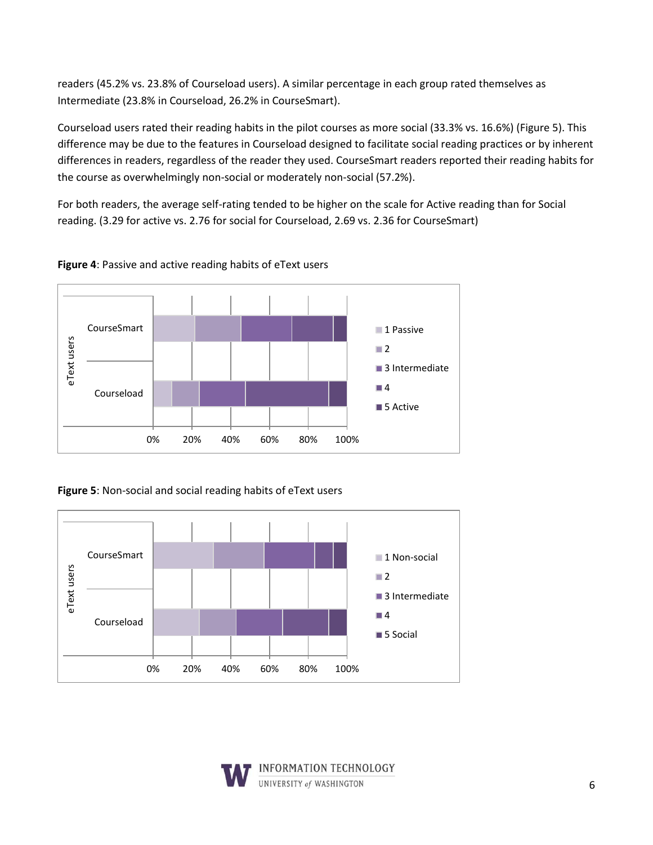readers (45.2% vs. 23.8% of Courseload users). A similar percentage in each group rated themselves as Intermediate (23.8% in Courseload, 26.2% in CourseSmart).

Courseload users rated their reading habits in the pilot courses as more social (33.3% vs. 16.6%) (Figure 5). This difference may be due to the features in Courseload designed to facilitate social reading practices or by inherent differences in readers, regardless of the reader they used. CourseSmart readers reported their reading habits for the course as overwhelmingly non-social or moderately non-social (57.2%).

For both readers, the average self-rating tended to be higher on the scale for Active reading than for Social reading. (3.29 for active vs. 2.76 for social for Courseload, 2.69 vs. 2.36 for CourseSmart)



**Figure 4**: Passive and active reading habits of eText users

**Figure 5**: Non-social and social reading habits of eText users



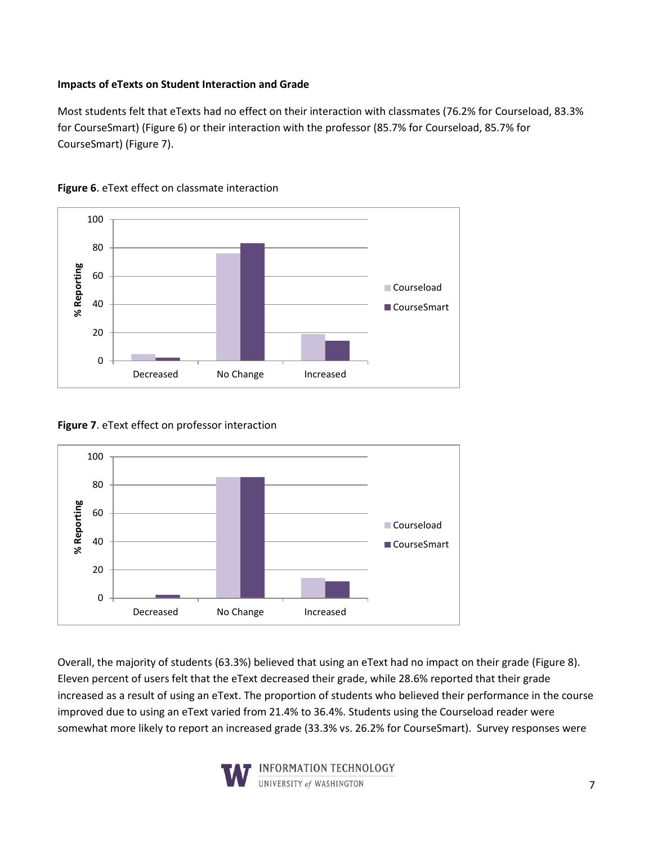### **Impacts of eTexts on Student Interaction and Grade**

Most students felt that eTexts had no effect on their interaction with classmates (76.2% for Courseload, 83.3% for CourseSmart) (Figure 6) or their interaction with the professor (85.7% for Courseload, 85.7% for CourseSmart) (Figure 7).





**Figure 7**. eText effect on professor interaction



Overall, the majority of students (63.3%) believed that using an eText had no impact on their grade (Figure 8). Eleven percent of users felt that the eText decreased their grade, while 28.6% reported that their grade increased as a result of using an eText. The proportion of students who believed their performance in the course improved due to using an eText varied from 21.4% to 36.4%. Students using the Courseload reader were somewhat more likely to report an increased grade (33.3% vs. 26.2% for CourseSmart). Survey responses were

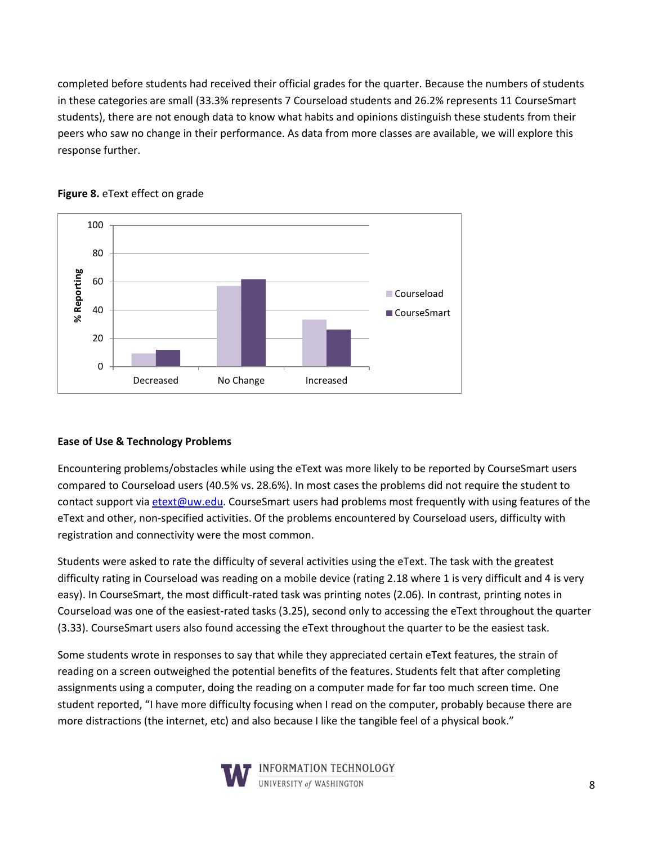completed before students had received their official grades for the quarter. Because the numbers of students in these categories are small (33.3% represents 7 Courseload students and 26.2% represents 11 CourseSmart students), there are not enough data to know what habits and opinions distinguish these students from their peers who saw no change in their performance. As data from more classes are available, we will explore this response further.



### **Figure 8.** eText effect on grade

### **Ease of Use & Technology Problems**

Encountering problems/obstacles while using the eText was more likely to be reported by CourseSmart users compared to Courseload users (40.5% vs. 28.6%). In most cases the problems did not require the student to contact support vi[a etext@uw.edu.](mailto:etext@uw.edu) CourseSmart users had problems most frequently with using features of the eText and other, non-specified activities. Of the problems encountered by Courseload users, difficulty with registration and connectivity were the most common.

Students were asked to rate the difficulty of several activities using the eText. The task with the greatest difficulty rating in Courseload was reading on a mobile device (rating 2.18 where 1 is very difficult and 4 is very easy). In CourseSmart, the most difficult-rated task was printing notes (2.06). In contrast, printing notes in Courseload was one of the easiest-rated tasks (3.25), second only to accessing the eText throughout the quarter (3.33). CourseSmart users also found accessing the eText throughout the quarter to be the easiest task.

Some students wrote in responses to say that while they appreciated certain eText features, the strain of reading on a screen outweighed the potential benefits of the features. Students felt that after completing assignments using a computer, doing the reading on a computer made for far too much screen time. One student reported, "I have more difficulty focusing when I read on the computer, probably because there are more distractions (the internet, etc) and also because I like the tangible feel of a physical book."



INFORMATION TECHNOLOGY UNIVERSITY of WASHINGTON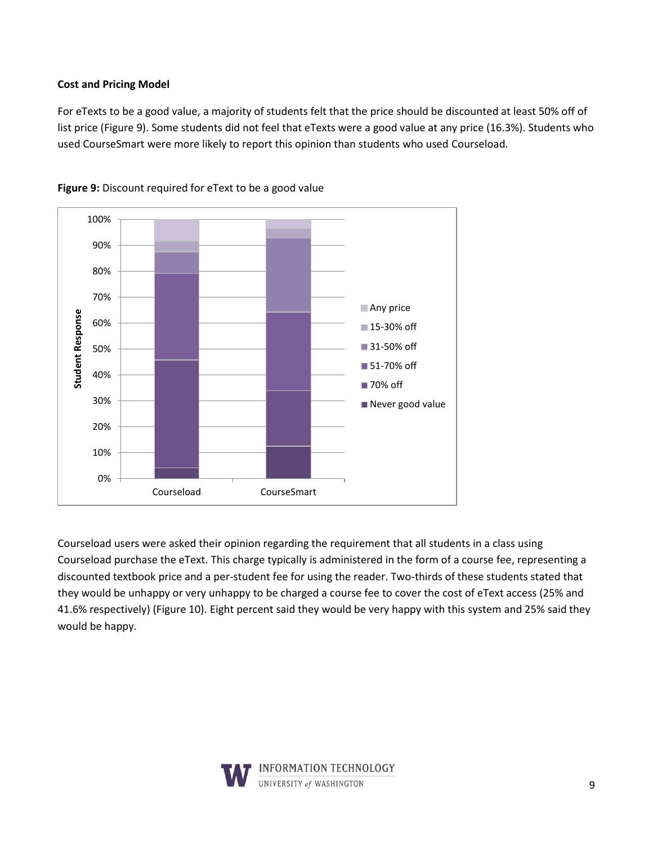### **Cost and Pricing Model**

For eTexts to be a good value, a majority of students felt that the price should be discounted at least 50% off of list price (Figure 9). Some students did not feel that eTexts were a good value at any price (16.3%). Students who used CourseSmart were more likely to report this opinion than students who used Courseload.



**Figure 9:** Discount required for eText to be a good value

Courseload users were asked their opinion regarding the requirement that all students in a class using Courseload purchase the eText. This charge typically is administered in the form of a course fee, representing a discounted textbook price and a per-student fee for using the reader. Two-thirds of these students stated that they would be unhappy or very unhappy to be charged a course fee to cover the cost of eText access (25% and 41.6% respectively) (Figure 10). Eight percent said they would be very happy with this system and 25% said they would be happy.

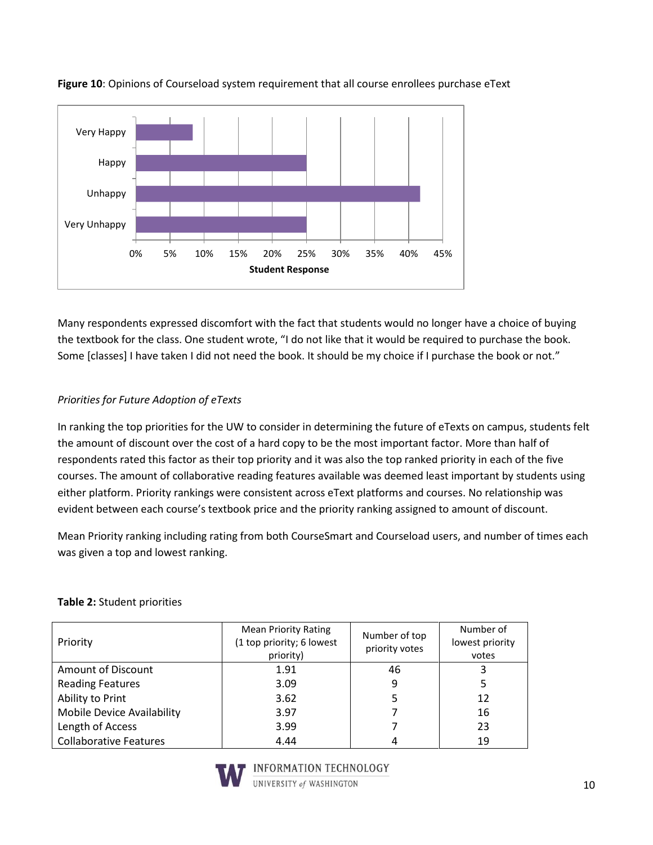

**Figure 10**: Opinions of Courseload system requirement that all course enrollees purchase eText

Many respondents expressed discomfort with the fact that students would no longer have a choice of buying the textbook for the class. One student wrote, "I do not like that it would be required to purchase the book. Some [classes] I have taken I did not need the book. It should be my choice if I purchase the book or not."

# *Priorities for Future Adoption of eTexts*

In ranking the top priorities for the UW to consider in determining the future of eTexts on campus, students felt the amount of discount over the cost of a hard copy to be the most important factor. More than half of respondents rated this factor as their top priority and it was also the top ranked priority in each of the five courses. The amount of collaborative reading features available was deemed least important by students using either platform. Priority rankings were consistent across eText platforms and courses. No relationship was evident between each course's textbook price and the priority ranking assigned to amount of discount.

Mean Priority ranking including rating from both CourseSmart and Courseload users, and number of times each was given a top and lowest ranking.

# **Table 2:** Student priorities

| Priority                      | <b>Mean Priority Rating</b><br>(1 top priority; 6 lowest<br>priority) | Number of top<br>priority votes | Number of<br>lowest priority<br>votes |
|-------------------------------|-----------------------------------------------------------------------|---------------------------------|---------------------------------------|
| <b>Amount of Discount</b>     | 1.91                                                                  | 46                              |                                       |
| <b>Reading Features</b>       | 3.09                                                                  | 9                               |                                       |
| Ability to Print              | 3.62                                                                  |                                 | 12                                    |
| Mobile Device Availability    | 3.97                                                                  |                                 | 16                                    |
| Length of Access              | 3.99                                                                  |                                 | 23                                    |
| <b>Collaborative Features</b> | 4.44                                                                  |                                 | 19                                    |